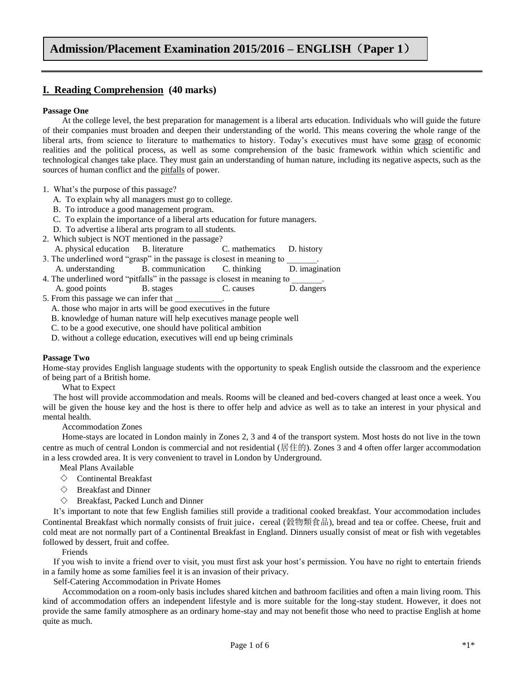## **I. Reading Comprehension (40 marks)**

### **Passage One**

 At the college level, the best preparation for management is a liberal arts education. Individuals who will guide the future of their companies must broaden and deepen their understanding of the world. This means covering the whole range of the liberal arts, from science to literature to mathematics to history. Today's executives must have some grasp of economic realities and the political process, as well as some comprehension of the basic framework within which scientific and technological changes take place. They must gain an understanding of human nature, including its negative aspects, such as the sources of human conflict and the pitfalls of power.

- 1. What's the purpose of this passage?
	- A. To explain why all managers must go to college.
	- B. To introduce a good management program.
	- C. To explain the importance of a liberal arts education for future managers.
	- D. To advertise a liberal arts program to all students.
- 2. Which subject is NOT mentioned in the passage? A. physical education B. literature C. mathematics D. history
- 3. The underlined word "grasp" in the passage is closest in meaning to A. understanding B. communication C. thinking D. imagination
- 4. The underlined word "pitfalls" in the passage is closest in meaning to
- A. good points B. stages C. causes D. dangers 5. From this passage we can infer that
	- A. those who major in arts will be good executives in the future
	- B. knowledge of human nature will help executives manage people well
	- C. to be a good executive, one should have political ambition
	- D. without a college education, executives will end up being criminals

#### **Passage Two**

Home-stay provides English language students with the opportunity to speak English outside the classroom and the experience of being part of a British home.

What to Expect

 The host will provide accommodation and meals. Rooms will be cleaned and bed-covers changed at least once a week. You will be given the house key and the host is there to offer help and advice as well as to take an interest in your physical and mental health.

#### Accommodation Zones

Home-stays are located in London mainly in Zones 2, 3 and 4 of the transport system. Most hosts do not live in the town centre as much of central London is commercial and not residential (居住的). Zones 3 and 4 often offer larger accommodation in a less crowded area. It is very convenient to travel in London by Underground.

- Meal Plans Available
- $\diamondsuit$  Continental Breakfast
- $\diamond$  Breakfast and Dinner
- $\diamond$  Breakfast, Packed Lunch and Dinner

 It's important to note that few English families still provide a traditional cooked breakfast. Your accommodation includes Continental Breakfast which normally consists of fruit juice, cereal (穀物類食品), bread and tea or coffee. Cheese, fruit and cold meat are not normally part of a Continental Breakfast in England. Dinners usually consist of meat or fish with vegetables followed by dessert, fruit and coffee.

#### Friends

 If you wish to invite a friend over to visit, you must first ask your host's permission. You have no right to entertain friends in a family home as some families feel it is an invasion of their privacy.

Self-Catering Accommodation in Private Homes

 Accommodation on a room-only basis includes shared kitchen and bathroom facilities and often a main living room. This kind of accommodation offers an independent lifestyle and is more suitable for the long-stay student. However, it does not provide the same family atmosphere as an ordinary home-stay and may not benefit those who need to practise English at home quite as much.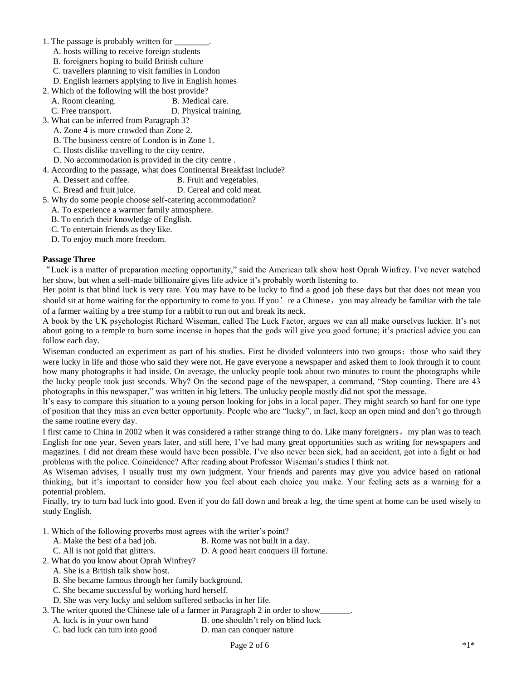- 1. The passage is probably written for \_
	- A. hosts willing to receive foreign students
	- B. foreigners hoping to build British culture
	- C. travellers planning to visit families in London
	- D. English learners applying to live in English homes
- 2. Which of the following will the host provide?
	- A. Room cleaning. B. Medical care.
	- C. Free transport. D. Physical training.
- 3. What can be inferred from Paragraph 3?
	- A. Zone 4 is more crowded than Zone 2.
	- B. The business centre of London is in Zone 1.
	- C. Hosts dislike travelling to the city centre.
	- D. No accommodation is provided in the city centre .
- 4. According to the passage, what does Continental Breakfast include? A. Dessert and coffee. B. Fruit and vegetables.
	- C. Bread and fruit juice. D. Cereal and cold meat.
- 5. Why do some people choose self-catering accommodation?
- A. To experience a warmer family atmosphere.
	- B. To enrich their knowledge of English.
	- C. To entertain friends as they like.
	- D. To enjoy much more freedom.

### **Passage Three**

"Luck is a matter of preparation meeting opportunity," said the American talk show host Oprah Winfrey. I've never watched her show, but when a self-made billionaire gives life advice it's probably worth listening to.

Her point is that blind luck is very rare. You may have to be lucky to find a good job these days but that does not mean you should sit at home waiting for the opportunity to come to you. If you're a Chinese, you may already be familiar with the tale of a farmer waiting by a tree stump for a rabbit to run out and break its neck.

A book by the UK psychologist Richard Wiseman, called The Luck Factor, argues we can all make ourselves luckier. It's not about going to a temple to burn some incense in hopes that the gods will give you good fortune; it's practical advice you can follow each day.

Wiseman conducted an experiment as part of his studies. First he divided volunteers into two groups: those who said they were lucky in life and those who said they were not. He gave everyone a newspaper and asked them to look through it to count how many photographs it had inside. On average, the unlucky people took about two minutes to count the photographs while the lucky people took just seconds. Why? On the second page of the newspaper, a command, "Stop counting. There are 43 photographs in this newspaper," was written in big letters. The unlucky people mostly did not spot the message.

It's easy to compare this situation to a young person looking for jobs in a local paper. They might search so hard for one type of position that they miss an even better opportunity. People who are "lucky", in fact, keep an open mind and don't go through the same routine every day.

I first came to China in 2002 when it was considered a rather strange thing to do. Like many foreigners, my plan was to teach English for one year. Seven years later, and still here, I've had many great opportunities such as writing for newspapers and magazines. I did not dream these would have been possible. I've also never been sick, had an accident, got into a fight or had problems with the police. Coincidence? After reading about Professor Wiseman's studies I think not.

As Wiseman advises, I usually trust my own judgment. Your friends and parents may give you advice based on rational thinking, but it's important to consider how you feel about each choice you make. Your feeling acts as a warning for a potential problem.

Finally, try to turn bad luck into good. Even if you do fall down and break a leg, the time spent at home can be used wisely to study English.

- 1. Which of the following proverbs most agrees with the writer's point?
	- A. Make the best of a bad job. B. Rome was not built in a day.
	- C. All is not gold that glitters. D. A good heart conquers ill fortune.

2. What do you know about Oprah Winfrey?

- A. She is a British talk show host.
- B. She became famous through her family background.
- C. She became successful by working hard herself.
- D. She was very lucky and seldom suffered setbacks in her life.
- 3. The writer quoted the Chinese tale of a farmer in Paragraph 2 in order to show\_
	- A. luck is in your own hand B. one shouldn't rely on blind luck
	- C. bad luck can turn into good D. man can conquer nature
		-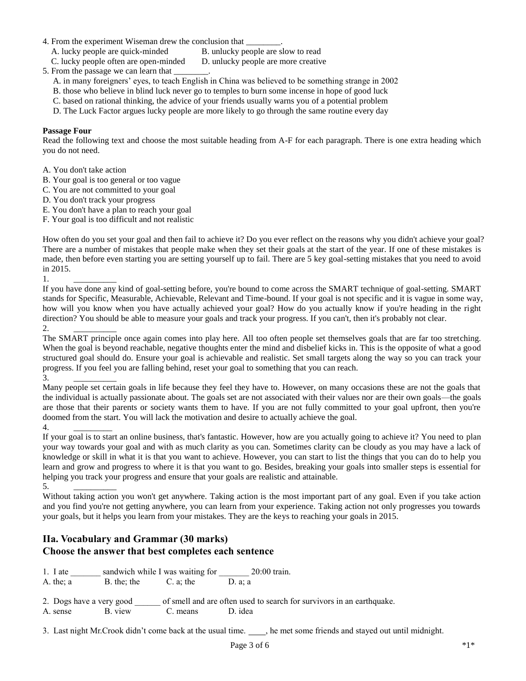- 4. From the experiment Wiseman drew the conclusion that
	- A. lucky people are quick-minded B. unlucky people are slow to read
	- C. lucky people often are open-minded D. unlucky people are more creative

5. From the passage we can learn that

- A. in many foreigners' eyes, to teach English in China was believed to be something strange in 2002
- B. those who believe in blind luck never go to temples to burn some incense in hope of good luck
- C. based on rational thinking, the advice of your friends usually warns you of a potential problem
- D. The Luck Factor argues lucky people are more likely to go through the same routine every day

### **Passage Four**

Read the following text and choose the most suitable heading from A-F for each paragraph. There is one extra heading which you do not need.

- A. You don't take action
- B. Your goal is too general or too vague
- C. You are not committed to your goal
- D. You don't track your progress
- E. You don't have a plan to reach your goal
- F. Your goal is too difficult and not realistic

How often do you set your goal and then fail to achieve it? Do you ever reflect on the reasons why you didn't achieve your goal? There are a number of mistakes that people make when they set their goals at the start of the year. If one of these mistakes is made, then before even starting you are setting yourself up to fail. There are 5 key goal-setting mistakes that you need to avoid in 2015.

1. \_\_\_\_\_\_\_\_\_\_

If you have done any kind of goal-setting before, you're bound to come across the SMART technique of goal-setting. SMART stands for Specific, Measurable, Achievable, Relevant and Time-bound. If your goal is not specific and it is vague in some way, how will you know when you have actually achieved your goal? How do you actually know if you're heading in the right direction? You should be able to measure your goals and track your progress. If you can't, then it's probably not clear. 2. \_\_\_\_\_\_\_\_\_\_

The SMART principle once again comes into play here. All too often people set themselves goals that are far too stretching. When the goal is beyond reachable, negative thoughts enter the mind and disbelief kicks in. This is the opposite of what a good structured goal should do. Ensure your goal is achievable and realistic. Set small targets along the way so you can track your progress. If you feel you are falling behind, reset your goal to something that you can reach.

 $3.$ 

Many people set certain goals in life because they feel they have to. However, on many occasions these are not the goals that the individual is actually passionate about. The goals set are not associated with their values nor are their own goals—the goals are those that their parents or society wants them to have. If you are not fully committed to your goal upfront, then you're doomed from the start. You will lack the motivation and desire to actually achieve the goal.

4.

If your goal is to start an online business, that's fantastic. However, how are you actually going to achieve it? You need to plan your way towards your goal and with as much clarity as you can. Sometimes clarity can be cloudy as you may have a lack of knowledge or skill in what it is that you want to achieve. However, you can start to list the things that you can do to help you learn and grow and progress to where it is that you want to go. Besides, breaking your goals into smaller steps is essential for helping you track your progress and ensure that your goals are realistic and attainable.

5. \_\_\_\_\_\_\_\_\_\_ Without taking action you won't get anywhere. Taking action is the most important part of any goal. Even if you take action and you find you're not getting anywhere, you can learn from your experience. Taking action not only progresses you towards your goals, but it helps you learn from your mistakes. They are the keys to reaching your goals in 2015.

# **IIa. Vocabulary and Grammar (30 marks) Choose the answer that best completes each sentence**

1. I ate \_\_\_\_\_\_\_ sandwich while I was waiting for \_\_\_\_\_\_\_\_ 20:00 train. A. the;  $a$  B. the; the C. a; the D. a; a

2. Dogs have a very good \_\_\_\_\_\_ of smell and are often used to search for survivors in an earthquake.

A. sense B. view C. means D. idea

3. Last night Mr.Crook didn't come back at the usual time.  $\_\_\_\_\_\_\_\_\_\$ ne met some friends and stayed out until midnight.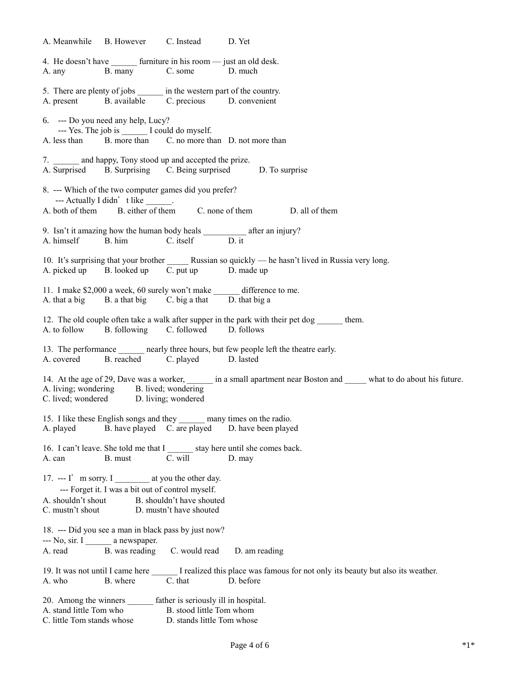A. Meanwhile B. However C. Instead D. Yet 4. He doesn't have \_\_\_\_\_\_\_ furniture in his room — just an old desk. A. any B. many C. some D. much 5. There are plenty of jobs in the western part of the country. A. present B. available C. precious D. convenient 6. --- Do you need any help, Lucy? --- Yes. The job is \_\_\_\_\_\_ I could do myself. A. less than B. more than C. no more than D. not more than 7. \_\_\_\_\_ and happy, Tony stood up and accepted the prize. A. Surprised B. Surprising C. Being surprised D. To surprise 8. --- Which of the two computer games did you prefer? --- Actually I didn't like  $\frac{1}{\sqrt{2}}$ . A. both of them B. either of them C. none of them D. all of them 9. Isn't it amazing how the human body heals \_\_\_\_\_\_\_\_\_\_ after an injury? A. himself B. him C. itself D. it 10. It's surprising that your brother Russian so quickly — he hasn't lived in Russia very long. A. picked up B. looked up C. put up D. made up 11. I make \$2,000 a week, 60 surely won't make \_\_\_\_\_\_ difference to me. A. that a big B. a that big C. big a that D. that big a 12. The old couple often take a walk after supper in the park with their pet dog them. A. to follow B. following C. followed D. follows 13. The performance \_\_\_\_\_\_ nearly three hours, but few people left the theatre early. A. covered B. reached C. played D. lasted 14. At the age of 29, Dave was a worker, \_\_\_\_\_\_ in a small apartment near Boston and \_\_\_\_\_ what to do about his future. A. living; wondering B. lived; wondering C. lived; wondered D. living; wondered 15. I like these English songs and they \_\_\_\_\_\_ many times on the radio. A. played B. have played C. are played D. have been played 16. I can't leave. She told me that I stay here until she comes back. A. can B. must C. will D. may 17. --- I' m sorry. I at you the other day. --- Forget it. I was a bit out of control myself. A. shouldn't shout B. shouldn't have shouted C. mustn't shout D. mustn't have shouted 18. --- Did you see a man in black pass by just now? --- No, sir. I a newspaper. A. read B. was reading C. would read D. am reading 19. It was not until I came here \_\_\_\_\_\_ I realized this place was famous for not only its beauty but also its weather. A. who B. where C. that D. before 20. Among the winners \_\_\_\_\_\_ father is seriously ill in hospital. A. stand little Tom who B. stood little Tom whom C. little Tom stands whose D. stands little Tom whose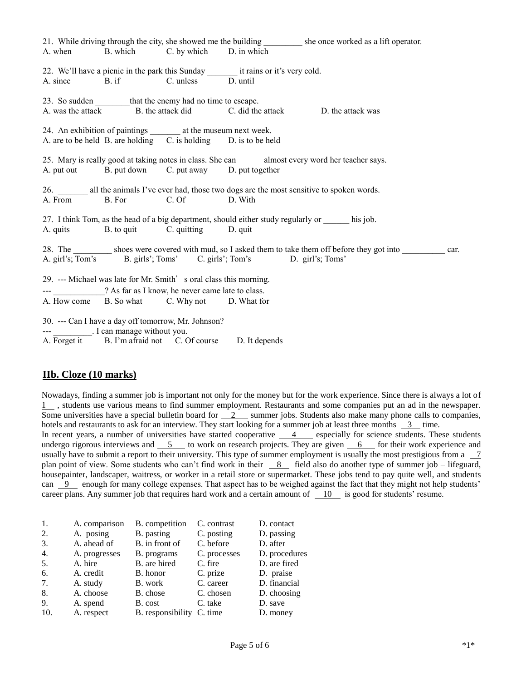|                                                                                               |                                             |                                                                                                                                      |                                                                                             | 21. While driving through the city, she showed me the building shares be once worked as a lift operator. |      |  |  |  |
|-----------------------------------------------------------------------------------------------|---------------------------------------------|--------------------------------------------------------------------------------------------------------------------------------------|---------------------------------------------------------------------------------------------|----------------------------------------------------------------------------------------------------------|------|--|--|--|
|                                                                                               |                                             | A. when B. which C. by which D. in which                                                                                             |                                                                                             |                                                                                                          |      |  |  |  |
|                                                                                               |                                             |                                                                                                                                      | 22. We'll have a picnic in the park this Sunday ___________ it rains or it's very cold.     |                                                                                                          |      |  |  |  |
|                                                                                               |                                             | A. since B. if C. unless D. until                                                                                                    |                                                                                             |                                                                                                          |      |  |  |  |
|                                                                                               |                                             | 23. So sudden _________ that the enemy had no time to escape.                                                                        |                                                                                             |                                                                                                          |      |  |  |  |
|                                                                                               |                                             |                                                                                                                                      | A. was the attack Theorem B. the attack did C. did the attack Theorem B. the attack was     |                                                                                                          |      |  |  |  |
|                                                                                               |                                             |                                                                                                                                      |                                                                                             |                                                                                                          |      |  |  |  |
|                                                                                               |                                             | 24. An exhibition of paintings _________ at the museum next week.<br>A. are to be held B. are holding C. is holding D. is to be held |                                                                                             |                                                                                                          |      |  |  |  |
|                                                                                               |                                             |                                                                                                                                      |                                                                                             |                                                                                                          |      |  |  |  |
| 25. Mary is really good at taking notes in class. She can almost every word her teacher says. |                                             |                                                                                                                                      |                                                                                             |                                                                                                          |      |  |  |  |
|                                                                                               |                                             | A. put out B. put down C. put away D. put together                                                                                   |                                                                                             |                                                                                                          |      |  |  |  |
|                                                                                               |                                             |                                                                                                                                      |                                                                                             |                                                                                                          |      |  |  |  |
|                                                                                               |                                             | A. From B. For C. Of D. With                                                                                                         | 26. all the animals I've ever had, those two dogs are the most sensitive to spoken words.   |                                                                                                          |      |  |  |  |
|                                                                                               |                                             |                                                                                                                                      |                                                                                             |                                                                                                          |      |  |  |  |
|                                                                                               |                                             |                                                                                                                                      | 27. I think Tom, as the head of a big department, should either study regularly or his job. |                                                                                                          |      |  |  |  |
|                                                                                               |                                             | A. quits B. to quit C. quitting D. quit                                                                                              |                                                                                             |                                                                                                          |      |  |  |  |
|                                                                                               |                                             |                                                                                                                                      |                                                                                             |                                                                                                          |      |  |  |  |
|                                                                                               |                                             |                                                                                                                                      | A. girl's; Tom's B. girls'; Toms' C. girls'; Tom's D. girl's; Toms'                         | 28. The _________ shoes were covered with mud, so I asked them to take them off before they got into     | car. |  |  |  |
|                                                                                               |                                             |                                                                                                                                      |                                                                                             |                                                                                                          |      |  |  |  |
|                                                                                               |                                             | 29. --- Michael was late for Mr. Smith's oral class this morning.                                                                    |                                                                                             |                                                                                                          |      |  |  |  |
|                                                                                               |                                             | --- 2 As far as I know, he never came late to class.                                                                                 |                                                                                             |                                                                                                          |      |  |  |  |
|                                                                                               |                                             | A. How come B. So what C. Why not D. What for                                                                                        |                                                                                             |                                                                                                          |      |  |  |  |
|                                                                                               |                                             |                                                                                                                                      |                                                                                             |                                                                                                          |      |  |  |  |
|                                                                                               | --- __________. I can manage without you.   | 30. --- Can I have a day off tomorrow, Mr. Johnson?                                                                                  |                                                                                             |                                                                                                          |      |  |  |  |
|                                                                                               | A. Forget it B. I'm afraid not C. Of course |                                                                                                                                      | D. It depends                                                                               |                                                                                                          |      |  |  |  |

## **IIb. Cloze (10 marks)**

Nowadays, finding a summer job is important not only for the money but for the work experience. Since there is always a lot of 1 , students use various means to find summer employment. Restaurants and some companies put an ad in the newspaper. Some universities have a special bulletin board for  $\frac{2}{2}$  summer jobs. Students also make many phone calls to companies, hotels and restaurants to ask for an interview. They start looking for a summer job at least three months  $\frac{3}{\ }$  time. In recent years, a number of universities have started cooperative 4 especially for science students. These students undergo rigorous interviews and  $\overline{5}$  to work on research projects. They are given  $\overline{6}$  for their work experience and usually have to submit a report to their university. This type of summer employment is usually the most prestigious from a  $\frac{7}{10}$ plan point of view. Some students who can't find work in their 8 field also do another type of summer job – lifeguard, housepainter, landscaper, waitress, or worker in a retail store or supermarket. These jobs tend to pay quite well, and students can  $9$  enough for many college expenses. That aspect has to be weighed against the fact that they might not help students' career plans. Any summer job that requires hard work and a certain amount of 10 is good for students' resume.

| -1. | A. comparison | B. competition            | C. contrast  | D. contact    |
|-----|---------------|---------------------------|--------------|---------------|
| 2.  | A. posing     | B. pasting                | C. posting   | D. passing    |
| 3.  | A. ahead of   | B. in front of            | C. before    | D. after      |
| 4.  | A. progresses | B. programs               | C. processes | D. procedures |
| 5.  | A. hire       | B. are hired              | C. fire      | D. are fired  |
| 6.  | A. credit     | B. honor                  | C. prize     | D. praise     |
| 7.  | A. study      | B. work                   | C. career    | D. financial  |
| 8.  | A. choose     | B. chose                  | C. chosen    | D. choosing   |
| 9.  | A. spend      | B. cost                   | C. take      | D. save       |
| 10. | A. respect    | B. responsibility C. time |              | D. money      |